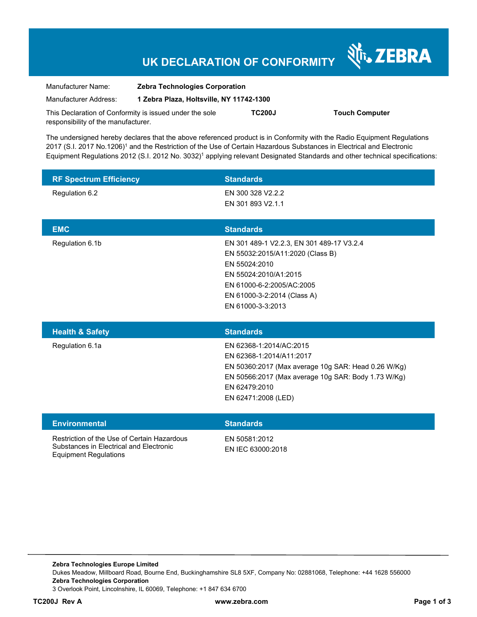## **UK DECLARATION OF CONFORMITY**

Nr. ZEBRA

| Manufacturer Name:                                      | <b>Zebra Technologies Corporation</b>    |               |                       |
|---------------------------------------------------------|------------------------------------------|---------------|-----------------------|
| Manufacturer Address:                                   | 1 Zebra Plaza, Holtsville, NY 11742-1300 |               |                       |
| This Declaration of Conformity is issued under the sole |                                          | <b>TC200J</b> | <b>Touch Computer</b> |
| responsibility of the manufacturer.                     |                                          |               |                       |

The undersigned hereby declares that the above referenced product is in Conformity with the Radio Equipment Regulations 2017 (S.I. 2017 No.1206)<sup>1</sup> and the Restriction of the Use of Certain Hazardous Substances in Electrical and Electronic Equipment Regulations 2012 (S.I. 2012 No. 3032)<sup>1</sup> applying relevant Designated Standards and other technical specifications:

| <b>RF Spectrum Efficiency</b> | <b>Standards</b>                                                                                                                                                                                          |
|-------------------------------|-----------------------------------------------------------------------------------------------------------------------------------------------------------------------------------------------------------|
| Regulation 6.2                | EN 300 328 V2.2.2<br>EN 301 893 V2.1.1                                                                                                                                                                    |
| <b>EMC</b>                    | <b>Standards</b>                                                                                                                                                                                          |
| Regulation 6.1b               | EN 301 489-1 V2.2.3, EN 301 489-17 V3.2.4<br>EN 55032:2015/A11:2020 (Class B)<br>EN 55024:2010<br>EN 55024:2010/A1:2015<br>EN 61000-6-2:2005/AC:2005<br>EN 61000-3-2:2014 (Class A)<br>EN 61000-3-3:2013  |
|                               |                                                                                                                                                                                                           |
| <b>Health &amp; Safety</b>    | <b>Standards</b>                                                                                                                                                                                          |
| Regulation 6.1a               | EN 62368-1:2014/AC:2015<br>EN 62368-1:2014/A11:2017<br>EN 50360:2017 (Max average 10g SAR: Head 0.26 W/Kg)<br>EN 50566:2017 (Max average 10g SAR: Body 1.73 W/Kg)<br>EN 62479:2010<br>EN 62471:2008 (LED) |
| <b>Environmental</b>          | <b>Standards</b>                                                                                                                                                                                          |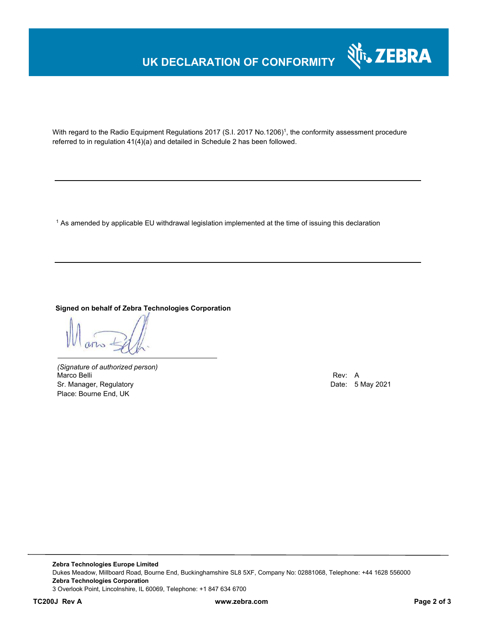# **UK DECLARATION OF CONFORMITY**



With regard to the Radio Equipment Regulations 2017 (S.I. 2017 No.1206)<sup>1</sup>, the conformity assessment procedure referred to in regulation 41(4)(a) and detailed in Schedule 2 has been followed.

 $^{\rm 1}$  As amended by applicable EU withdrawal legislation implemented at the time of issuing this declaration

#### **Signed on behalf of Zebra Technologies Corporation**

*(Signature of authorized person)* Marco Belli Rev: A Sr. Manager, Regulatory **Date: 5 May 2021** Place: Bourne End, UK